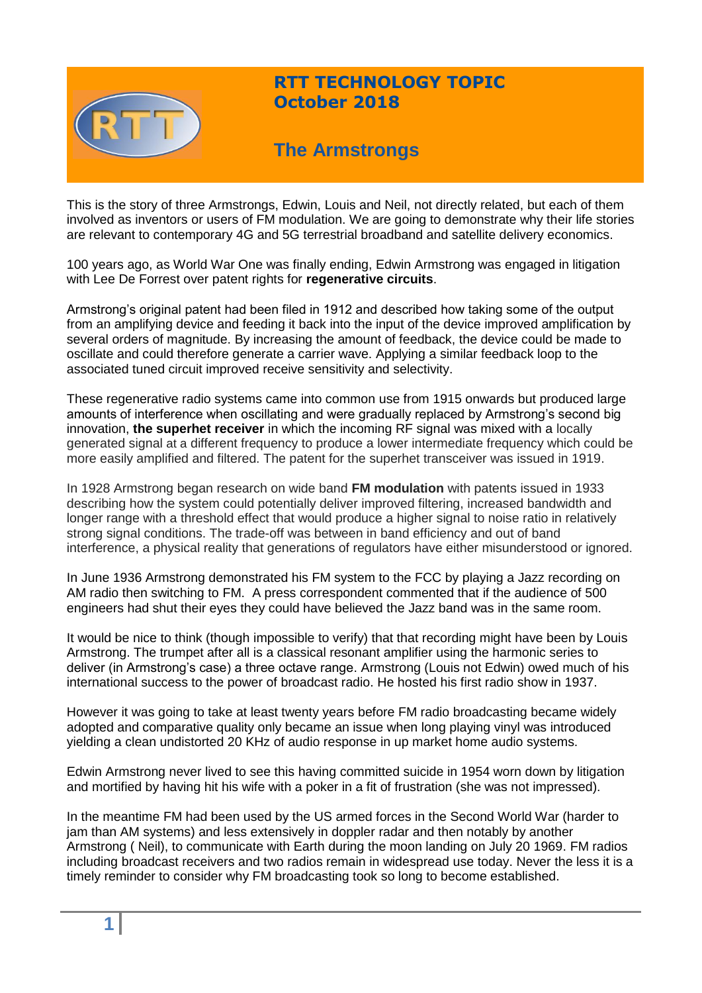

# **RTT TECHNOLOGY TOPIC October 2018**

# **The Armstrongs**

This is the story of three Armstrongs, Edwin, Louis and Neil, not directly related, but each of them involved as inventors or users of FM modulation. We are going to demonstrate why their life stories are relevant to contemporary 4G and 5G terrestrial broadband and satellite delivery economics.

100 years ago, as World War One was finally ending, Edwin Armstrong was engaged in litigation with Lee De Forrest over patent rights for **regenerative circuits**.

Armstrong's original patent had been filed in 1912 and described how taking some of the output from an amplifying device and feeding it back into the input of the device improved amplification by several orders of magnitude. By increasing the amount of feedback, the device could be made to oscillate and could therefore generate a carrier wave. Applying a similar feedback loop to the associated tuned circuit improved receive sensitivity and selectivity.

These regenerative radio systems came into common use from 1915 onwards but produced large amounts of interference when oscillating and were gradually replaced by Armstrong's second big innovation, **the superhet receiver** in which the incoming RF signal was mixed with a locally generated signal at a different frequency to produce a lower intermediate frequency which could be more easily amplified and filtered. The patent for the superhet transceiver was issued in 1919.

In 1928 Armstrong began research on wide band **FM modulation** with patents issued in 1933 describing how the system could potentially deliver improved filtering, increased bandwidth and longer range with a threshold effect that would produce a higher signal to noise ratio in relatively strong signal conditions. The trade-off was between in band efficiency and out of band interference, a physical reality that generations of regulators have either misunderstood or ignored.

In June 1936 Armstrong demonstrated his FM system to the FCC by playing a Jazz recording on AM radio then switching to FM. A press correspondent commented that if the audience of 500 engineers had shut their eyes they could have believed the Jazz band was in the same room.

It would be nice to think (though impossible to verify) that that recording might have been by Louis Armstrong. The trumpet after all is a classical resonant amplifier using the harmonic series to deliver (in Armstrong's case) a three octave range. Armstrong (Louis not Edwin) owed much of his international success to the power of broadcast radio. He hosted his first radio show in 1937.

However it was going to take at least twenty years before FM radio broadcasting became widely adopted and comparative quality only became an issue when long playing vinyl was introduced yielding a clean undistorted 20 KHz of audio response in up market home audio systems.

Edwin Armstrong never lived to see this having committed suicide in 1954 worn down by litigation and mortified by having hit his wife with a poker in a fit of frustration (she was not impressed).

In the meantime FM had been used by the US armed forces in the Second World War (harder to jam than AM systems) and less extensively in doppler radar and then notably by another Armstrong ( Neil), to communicate with Earth during the moon landing on July 20 1969. FM radios including broadcast receivers and two radios remain in widespread use today. Never the less it is a timely reminder to consider why FM broadcasting took so long to become established.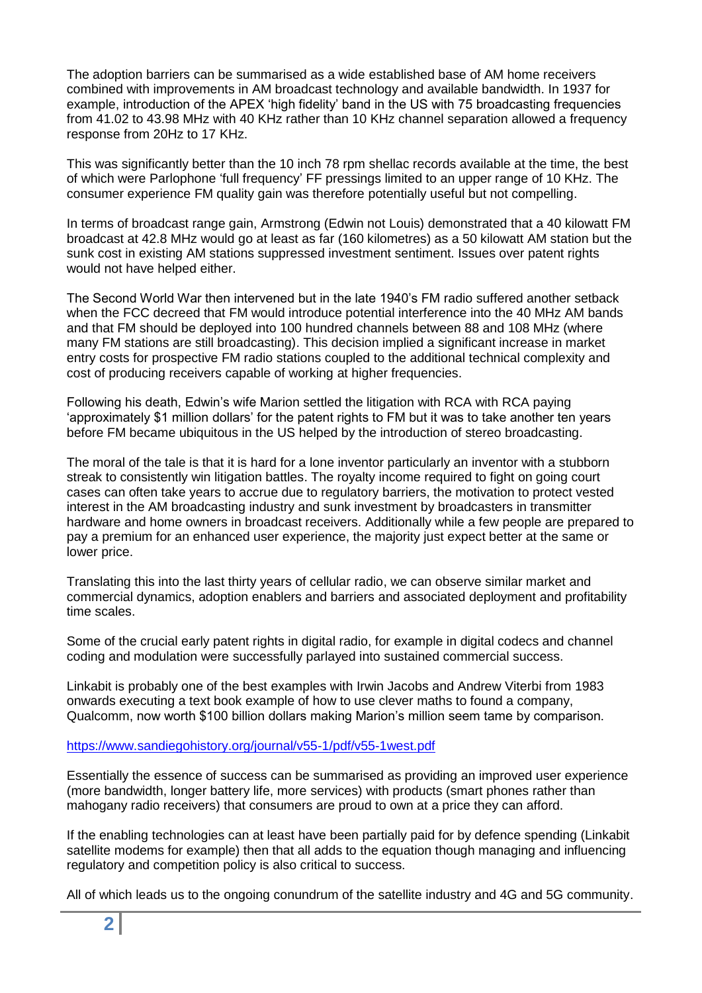The adoption barriers can be summarised as a wide established base of AM home receivers combined with improvements in AM broadcast technology and available bandwidth. In 1937 for example, introduction of the APEX 'high fidelity' band in the US with 75 broadcasting frequencies from 41.02 to 43.98 MHz with 40 KHz rather than 10 KHz channel separation allowed a frequency response from 20Hz to 17 KHz.

This was significantly better than the 10 inch 78 rpm shellac records available at the time, the best of which were Parlophone 'full frequency' FF pressings limited to an upper range of 10 KHz. The consumer experience FM quality gain was therefore potentially useful but not compelling.

In terms of broadcast range gain, Armstrong (Edwin not Louis) demonstrated that a 40 kilowatt FM broadcast at 42.8 MHz would go at least as far (160 kilometres) as a 50 kilowatt AM station but the sunk cost in existing AM stations suppressed investment sentiment. Issues over patent rights would not have helped either.

The Second World War then intervened but in the late 1940's FM radio suffered another setback when the FCC decreed that FM would introduce potential interference into the 40 MHz AM bands and that FM should be deployed into 100 hundred channels between 88 and 108 MHz (where many FM stations are still broadcasting). This decision implied a significant increase in market entry costs for prospective FM radio stations coupled to the additional technical complexity and cost of producing receivers capable of working at higher frequencies.

Following his death, Edwin's wife Marion settled the litigation with RCA with RCA paying 'approximately \$1 million dollars' for the patent rights to FM but it was to take another ten years before FM became ubiquitous in the US helped by the introduction of stereo broadcasting.

The moral of the tale is that it is hard for a lone inventor particularly an inventor with a stubborn streak to consistently win litigation battles. The royalty income required to fight on going court cases can often take years to accrue due to regulatory barriers, the motivation to protect vested interest in the AM broadcasting industry and sunk investment by broadcasters in transmitter hardware and home owners in broadcast receivers. Additionally while a few people are prepared to pay a premium for an enhanced user experience, the majority just expect better at the same or lower price.

Translating this into the last thirty years of cellular radio, we can observe similar market and commercial dynamics, adoption enablers and barriers and associated deployment and profitability time scales.

Some of the crucial early patent rights in digital radio, for example in digital codecs and channel coding and modulation were successfully parlayed into sustained commercial success.

Linkabit is probably one of the best examples with Irwin Jacobs and Andrew Viterbi from 1983 onwards executing a text book example of how to use clever maths to found a company, Qualcomm, now worth \$100 billion dollars making Marion's million seem tame by comparison.

#### <https://www.sandiegohistory.org/journal/v55-1/pdf/v55-1west.pdf>

Essentially the essence of success can be summarised as providing an improved user experience (more bandwidth, longer battery life, more services) with products (smart phones rather than mahogany radio receivers) that consumers are proud to own at a price they can afford.

If the enabling technologies can at least have been partially paid for by defence spending (Linkabit satellite modems for example) then that all adds to the equation though managing and influencing regulatory and competition policy is also critical to success.

All of which leads us to the ongoing conundrum of the satellite industry and 4G and 5G community.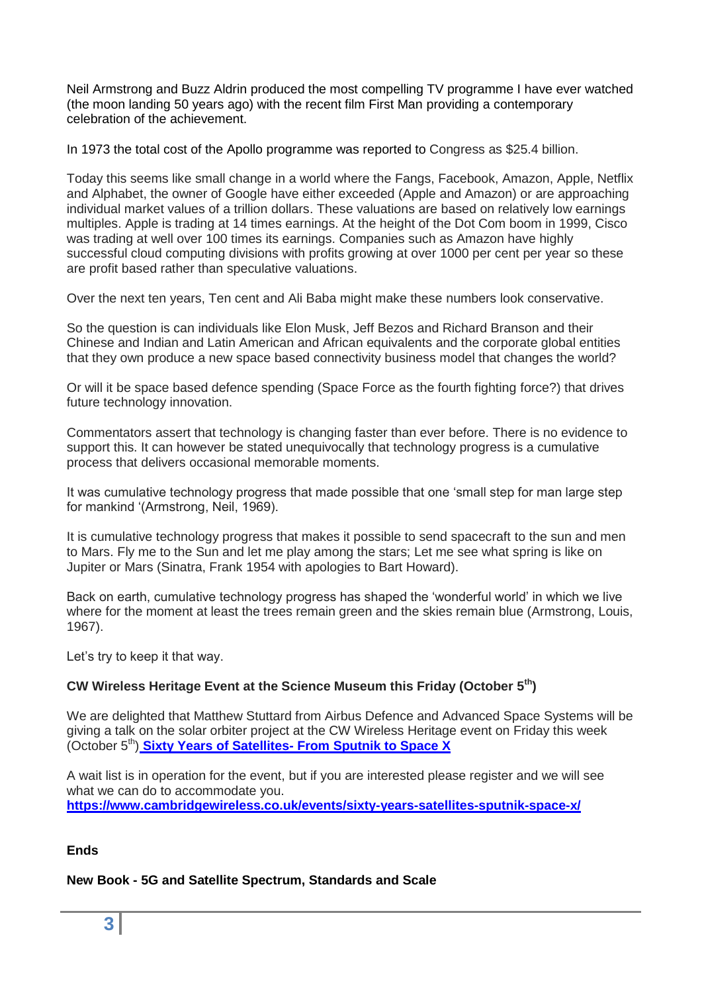Neil Armstrong and Buzz Aldrin produced the most compelling TV programme I have ever watched (the moon landing 50 years ago) with the recent film First Man providing a contemporary celebration of the achievement.

In 1973 the total cost of the Apollo programme was reported to Congress as \$25.4 billion.

Today this seems like small change in a world where the Fangs, Facebook, Amazon, Apple, Netflix and Alphabet, the owner of Google have either exceeded (Apple and Amazon) or are approaching individual market values of a trillion dollars. These valuations are based on relatively low earnings multiples. Apple is trading at 14 times earnings. At the height of the Dot Com boom in 1999, Cisco was trading at well over 100 times its earnings. Companies such as Amazon have highly successful cloud computing divisions with profits growing at over 1000 per cent per year so these are profit based rather than speculative valuations.

Over the next ten years, Ten cent and Ali Baba might make these numbers look conservative.

So the question is can individuals like Elon Musk, Jeff Bezos and Richard Branson and their Chinese and Indian and Latin American and African equivalents and the corporate global entities that they own produce a new space based connectivity business model that changes the world?

Or will it be space based defence spending (Space Force as the fourth fighting force?) that drives future technology innovation.

Commentators assert that technology is changing faster than ever before. There is no evidence to support this. It can however be stated unequivocally that technology progress is a cumulative process that delivers occasional memorable moments.

It was cumulative technology progress that made possible that one 'small step for man large step for mankind '(Armstrong, Neil, 1969).

It is cumulative technology progress that makes it possible to send spacecraft to the sun and men to Mars. Fly me to the Sun and let me play among the stars; Let me see what spring is like on Jupiter or Mars (Sinatra, Frank 1954 with apologies to Bart Howard).

Back on earth, cumulative technology progress has shaped the 'wonderful world' in which we live where for the moment at least the trees remain green and the skies remain blue (Armstrong, Louis, 1967).

Let's try to keep it that way.

## **CW Wireless Heritage Event at the Science Museum this Friday (October 5th)**

We are delighted that Matthew Stuttard from Airbus Defence and Advanced Space Systems will be giving a talk on the solar orbiter project at the CW Wireless Heritage event on Friday this week (October 5<sup>th</sup>) **Sixty Years of Satellites- [From Sputnik to Space X](https://www.cambridgewireless.co.uk/events/sixty-years-satellites-sputnik-space-x/)** 

A wait list is in operation for the event, but if you are interested please register and we will see what we can do to accommodate you. **<https://www.cambridgewireless.co.uk/events/sixty-years-satellites-sputnik-space-x/>**

## **Ends**

## **New Book - 5G and Satellite Spectrum, Standards and Scale**